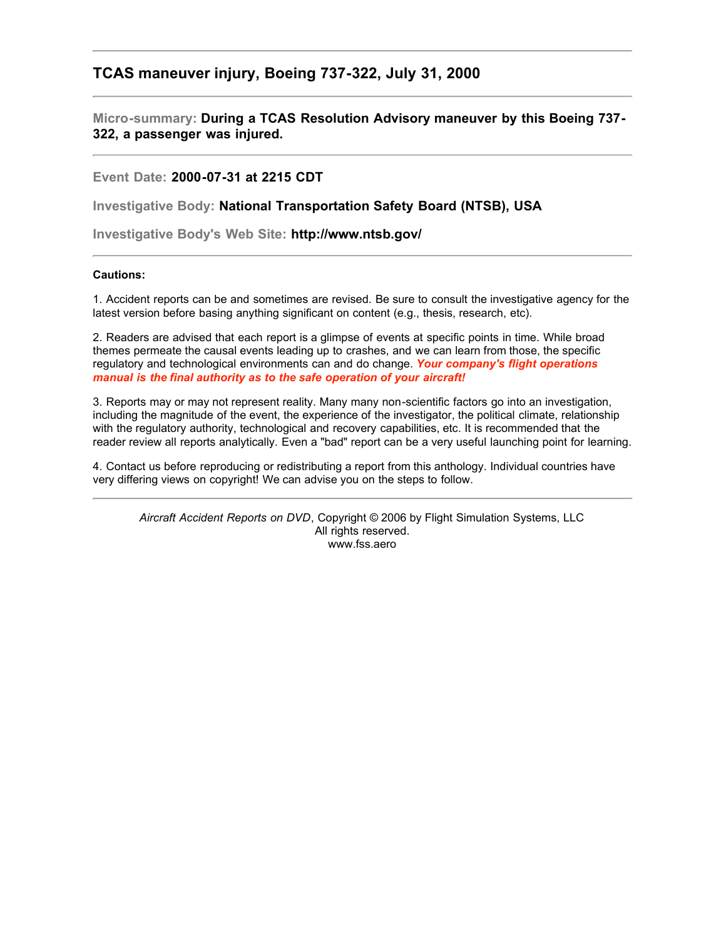## **TCAS maneuver injury, Boeing 737-322, July 31, 2000**

**Micro-summary: During a TCAS Resolution Advisory maneuver by this Boeing 737- 322, a passenger was injured.**

**Event Date: 2000-07-31 at 2215 CDT**

**Investigative Body: National Transportation Safety Board (NTSB), USA**

**Investigative Body's Web Site: http://www.ntsb.gov/**

## **Cautions:**

1. Accident reports can be and sometimes are revised. Be sure to consult the investigative agency for the latest version before basing anything significant on content (e.g., thesis, research, etc).

2. Readers are advised that each report is a glimpse of events at specific points in time. While broad themes permeate the causal events leading up to crashes, and we can learn from those, the specific regulatory and technological environments can and do change. *Your company's flight operations manual is the final authority as to the safe operation of your aircraft!*

3. Reports may or may not represent reality. Many many non-scientific factors go into an investigation, including the magnitude of the event, the experience of the investigator, the political climate, relationship with the regulatory authority, technological and recovery capabilities, etc. It is recommended that the reader review all reports analytically. Even a "bad" report can be a very useful launching point for learning.

4. Contact us before reproducing or redistributing a report from this anthology. Individual countries have very differing views on copyright! We can advise you on the steps to follow.

*Aircraft Accident Reports on DVD*, Copyright © 2006 by Flight Simulation Systems, LLC All rights reserved. www.fss.aero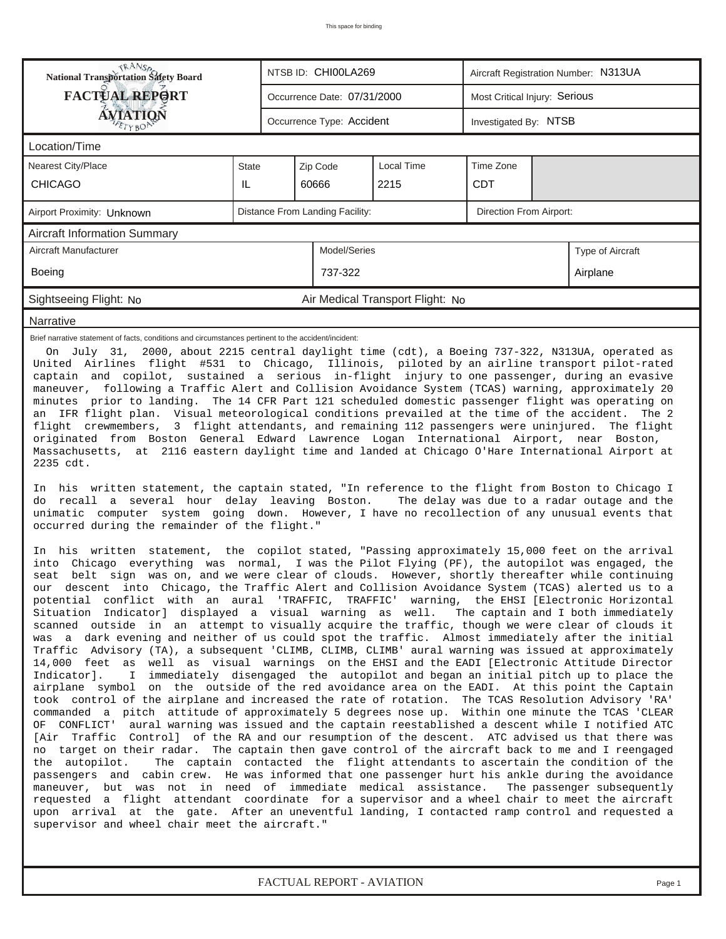| <b>FACTUAL REPORT</b><br>Most Critical Injury: Serious<br>Occurrence Date: 07/31/2000<br><b>AVIATION</b><br>Occurrence Type: Accident<br>Investigated By: NTSB<br>Location/Time<br><b>Local Time</b><br>Time Zone<br><b>Nearest City/Place</b><br>State<br>Zip Code<br><b>CHICAGO</b><br>IL.<br>60666<br>2215<br><b>CDT</b><br>Distance From Landing Facility:<br>Direction From Airport:<br>Airport Proximity: Unknown<br>Aircraft Information Summary<br>Aircraft Manufacturer<br>Model/Series<br>Type of Aircraft<br>Boeing<br>737-322<br>Airplane<br>Sightseeing Flight: No<br>Air Medical Transport Flight: No<br>Narrative<br>Brief narrative statement of facts, conditions and circumstances pertinent to the accident/incident:<br>On July 31, 2000, about 2215 central daylight time (cdt), a Boeing 737-322, N313UA, operated as<br>United Airlines flight #531 to Chicago, Illinois, piloted by an airline transport pilot-rated<br>captain and copilot, sustained a serious in-flight injury to one passenger, during an evasive<br>maneuver, following a Traffic Alert and Collision Avoidance System (TCAS) warning, approximately 20<br>minutes prior to landing. The 14 CFR Part 121 scheduled domestic passenger flight was operating on<br>an IFR flight plan. Visual meteorological conditions prevailed at the time of the accident. The 2<br>flight crewmembers, 3 flight attendants, and remaining 112 passengers were uninjured. The flight<br>originated from Boston General Edward Lawrence Logan International Airport, near Boston,<br>Massachusetts, at 2116 eastern daylight time and landed at Chicago O'Hare International Airport at<br>2235 cdt.<br>In his written statement, the captain stated, "In reference to the flight from Boston to Chicago I<br>do recall a several hour delay leaving Boston.<br>The delay was due to a radar outage and the<br>unimatic computer system going down. However, I have no recollection of any unusual events that<br>occurred during the remainder of the flight."<br>In his written statement, the copilot stated, "Passing approximately 15,000 feet on the arrival<br>into Chicago everything was normal, I was the Pilot Flying (PF), the autopilot was engaged, the<br>seat belt sign was on, and we were clear of clouds. However, shortly thereafter while continuing<br>our descent into Chicago, the Traffic Alert and Collision Avoidance System (TCAS) alerted us to a<br>potential conflict with an aural 'TRAFFIC, TRAFFIC' warning, the EHSI [Electronic Horizontal<br>Situation Indicator] displayed a visual warning as well. The captain and I both immediately<br>scanned outside in an attempt to visually acquire the traffic, though we were clear of clouds it | <b>NANSA</b><br>National Transportation Safety Board<br>NTSB ID: CHI00LA269<br>Aircraft Registration Number: N313UA |  |  |  |  |  |  |  |  |
|-----------------------------------------------------------------------------------------------------------------------------------------------------------------------------------------------------------------------------------------------------------------------------------------------------------------------------------------------------------------------------------------------------------------------------------------------------------------------------------------------------------------------------------------------------------------------------------------------------------------------------------------------------------------------------------------------------------------------------------------------------------------------------------------------------------------------------------------------------------------------------------------------------------------------------------------------------------------------------------------------------------------------------------------------------------------------------------------------------------------------------------------------------------------------------------------------------------------------------------------------------------------------------------------------------------------------------------------------------------------------------------------------------------------------------------------------------------------------------------------------------------------------------------------------------------------------------------------------------------------------------------------------------------------------------------------------------------------------------------------------------------------------------------------------------------------------------------------------------------------------------------------------------------------------------------------------------------------------------------------------------------------------------------------------------------------------------------------------------------------------------------------------------------------------------------------------------------------------------------------------------------------------------------------------------------------------------------------------------------------------------------------------------------------------------------------------------------------------------------------------------------------------------------------------------------------------------------------------------------------------------------------------------------------------------------------------------------------------------------------------------------------|---------------------------------------------------------------------------------------------------------------------|--|--|--|--|--|--|--|--|
|                                                                                                                                                                                                                                                                                                                                                                                                                                                                                                                                                                                                                                                                                                                                                                                                                                                                                                                                                                                                                                                                                                                                                                                                                                                                                                                                                                                                                                                                                                                                                                                                                                                                                                                                                                                                                                                                                                                                                                                                                                                                                                                                                                                                                                                                                                                                                                                                                                                                                                                                                                                                                                                                                                                                                                 |                                                                                                                     |  |  |  |  |  |  |  |  |
|                                                                                                                                                                                                                                                                                                                                                                                                                                                                                                                                                                                                                                                                                                                                                                                                                                                                                                                                                                                                                                                                                                                                                                                                                                                                                                                                                                                                                                                                                                                                                                                                                                                                                                                                                                                                                                                                                                                                                                                                                                                                                                                                                                                                                                                                                                                                                                                                                                                                                                                                                                                                                                                                                                                                                                 |                                                                                                                     |  |  |  |  |  |  |  |  |
|                                                                                                                                                                                                                                                                                                                                                                                                                                                                                                                                                                                                                                                                                                                                                                                                                                                                                                                                                                                                                                                                                                                                                                                                                                                                                                                                                                                                                                                                                                                                                                                                                                                                                                                                                                                                                                                                                                                                                                                                                                                                                                                                                                                                                                                                                                                                                                                                                                                                                                                                                                                                                                                                                                                                                                 |                                                                                                                     |  |  |  |  |  |  |  |  |
|                                                                                                                                                                                                                                                                                                                                                                                                                                                                                                                                                                                                                                                                                                                                                                                                                                                                                                                                                                                                                                                                                                                                                                                                                                                                                                                                                                                                                                                                                                                                                                                                                                                                                                                                                                                                                                                                                                                                                                                                                                                                                                                                                                                                                                                                                                                                                                                                                                                                                                                                                                                                                                                                                                                                                                 |                                                                                                                     |  |  |  |  |  |  |  |  |
|                                                                                                                                                                                                                                                                                                                                                                                                                                                                                                                                                                                                                                                                                                                                                                                                                                                                                                                                                                                                                                                                                                                                                                                                                                                                                                                                                                                                                                                                                                                                                                                                                                                                                                                                                                                                                                                                                                                                                                                                                                                                                                                                                                                                                                                                                                                                                                                                                                                                                                                                                                                                                                                                                                                                                                 |                                                                                                                     |  |  |  |  |  |  |  |  |
|                                                                                                                                                                                                                                                                                                                                                                                                                                                                                                                                                                                                                                                                                                                                                                                                                                                                                                                                                                                                                                                                                                                                                                                                                                                                                                                                                                                                                                                                                                                                                                                                                                                                                                                                                                                                                                                                                                                                                                                                                                                                                                                                                                                                                                                                                                                                                                                                                                                                                                                                                                                                                                                                                                                                                                 |                                                                                                                     |  |  |  |  |  |  |  |  |
|                                                                                                                                                                                                                                                                                                                                                                                                                                                                                                                                                                                                                                                                                                                                                                                                                                                                                                                                                                                                                                                                                                                                                                                                                                                                                                                                                                                                                                                                                                                                                                                                                                                                                                                                                                                                                                                                                                                                                                                                                                                                                                                                                                                                                                                                                                                                                                                                                                                                                                                                                                                                                                                                                                                                                                 |                                                                                                                     |  |  |  |  |  |  |  |  |
|                                                                                                                                                                                                                                                                                                                                                                                                                                                                                                                                                                                                                                                                                                                                                                                                                                                                                                                                                                                                                                                                                                                                                                                                                                                                                                                                                                                                                                                                                                                                                                                                                                                                                                                                                                                                                                                                                                                                                                                                                                                                                                                                                                                                                                                                                                                                                                                                                                                                                                                                                                                                                                                                                                                                                                 |                                                                                                                     |  |  |  |  |  |  |  |  |
|                                                                                                                                                                                                                                                                                                                                                                                                                                                                                                                                                                                                                                                                                                                                                                                                                                                                                                                                                                                                                                                                                                                                                                                                                                                                                                                                                                                                                                                                                                                                                                                                                                                                                                                                                                                                                                                                                                                                                                                                                                                                                                                                                                                                                                                                                                                                                                                                                                                                                                                                                                                                                                                                                                                                                                 |                                                                                                                     |  |  |  |  |  |  |  |  |
|                                                                                                                                                                                                                                                                                                                                                                                                                                                                                                                                                                                                                                                                                                                                                                                                                                                                                                                                                                                                                                                                                                                                                                                                                                                                                                                                                                                                                                                                                                                                                                                                                                                                                                                                                                                                                                                                                                                                                                                                                                                                                                                                                                                                                                                                                                                                                                                                                                                                                                                                                                                                                                                                                                                                                                 |                                                                                                                     |  |  |  |  |  |  |  |  |
|                                                                                                                                                                                                                                                                                                                                                                                                                                                                                                                                                                                                                                                                                                                                                                                                                                                                                                                                                                                                                                                                                                                                                                                                                                                                                                                                                                                                                                                                                                                                                                                                                                                                                                                                                                                                                                                                                                                                                                                                                                                                                                                                                                                                                                                                                                                                                                                                                                                                                                                                                                                                                                                                                                                                                                 |                                                                                                                     |  |  |  |  |  |  |  |  |
| was a dark evening and neither of us could spot the traffic. Almost immediately after the initial<br>Traffic Advisory (TA), a subsequent 'CLIMB, CLIMB, CLIMB' aural warning was issued at approximately<br>14,000 feet as well as visual warnings on the EHSI and the EADI [Electronic Attitude Director<br>I immediately disengaged the autopilot and began an initial pitch up to place the<br>Indicator].<br>airplane symbol on the outside of the red avoidance area on the EADI. At this point the Captain<br>took control of the airplane and increased the rate of rotation. The TCAS Resolution Advisory 'RA'<br>commanded a pitch attitude of approximately 5 degrees nose up. Within one minute the TCAS 'CLEAR<br>OF CONFLICT' aural warning was issued and the captain reestablished a descent while I notified ATC<br>[Air Traffic Control] of the RA and our resumption of the descent. ATC advised us that there was<br>no target on their radar. The captain then gave control of the aircraft back to me and I reengaged<br>The captain contacted the flight attendants to ascertain the condition of the<br>the autopilot.                                                                                                                                                                                                                                                                                                                                                                                                                                                                                                                                                                                                                                                                                                                                                                                                                                                                                                                                                                                                                                                                                                                                                                                                                                                                                                                                                                                                                                                                                                                                                                                                                   |                                                                                                                     |  |  |  |  |  |  |  |  |

*FACTUAL REPORT - AVIATION Page 1*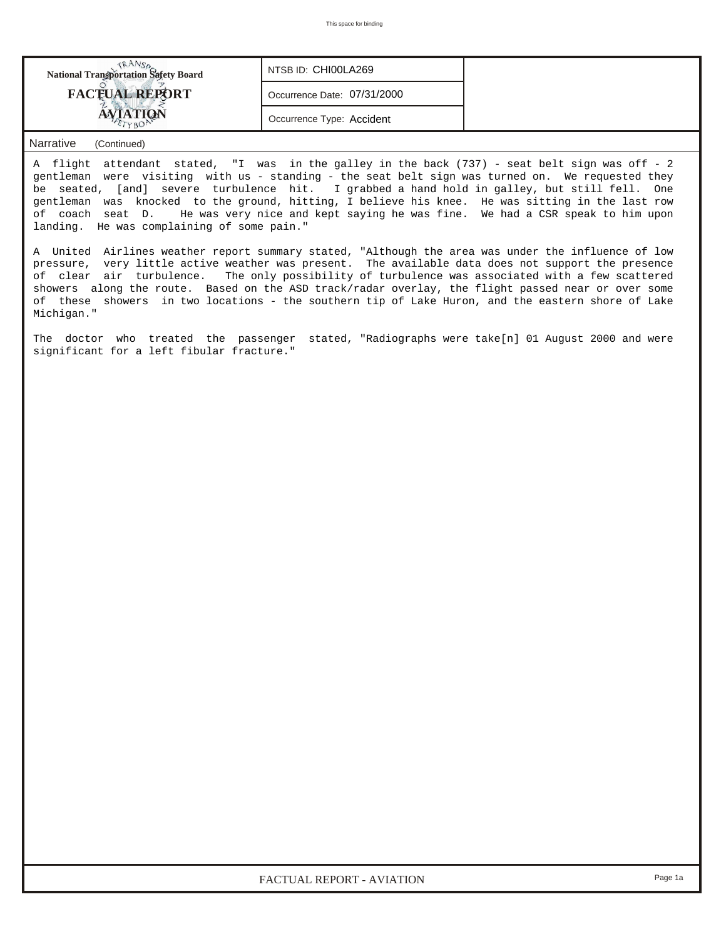| National Transportation Safety Board | NTSB ID: CHI00LA269         |  |  |  |  |
|--------------------------------------|-----------------------------|--|--|--|--|
| <b>FACTUAL REPORT</b>                | Occurrence Date: 07/31/2000 |  |  |  |  |
|                                      | Occurrence Type: Accident   |  |  |  |  |

## *Narrative (Continued)*

A flight attendant stated, "I was in the galley in the back (737) - seat belt sign was off - 2 gentleman were visiting with us - standing - the seat belt sign was turned on. We requested they be seated, [and] severe turbulence hit. I grabbed a hand hold in galley, but still fell. One gentleman was knocked to the ground, hitting, I believe his knee. He was sitting in the last row of coach seat D. He was very nice and kept saying he was fine. We had a CSR speak to him upon landing. He was complaining of some pain."

A United Airlines weather report summary stated, "Although the area was under the influence of low pressure, very little active weather was present. The available data does not support the presence of clear air turbulence. The only possibility of turbulence was associated with a few scattered showers along the route. Based on the ASD track/radar overlay, the flight passed near or over some of these showers in two locations - the southern tip of Lake Huron, and the eastern shore of Lake Michigan."

The doctor who treated the passenger stated, "Radiographs were take[n] 01 August 2000 and were significant for a left fibular fracture."

*FACTUAL REPORT - AVIATION Page 1a*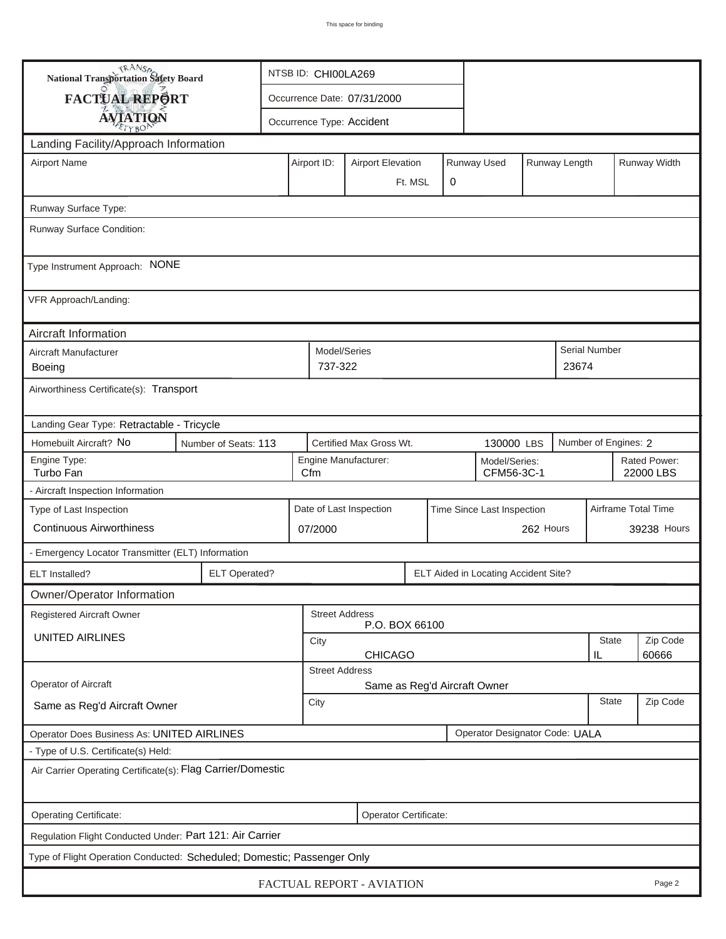| <b>National Transportation Safety Board</b>                                  |                                                              | NTSB ID: CHI00LA269         |                                                        |                                                            |  |            |             |                     |                           |               |              |  |
|------------------------------------------------------------------------------|--------------------------------------------------------------|-----------------------------|--------------------------------------------------------|------------------------------------------------------------|--|------------|-------------|---------------------|---------------------------|---------------|--------------|--|
| FACTUAL REPORT                                                               |                                                              | Occurrence Date: 07/31/2000 |                                                        |                                                            |  |            |             |                     |                           |               |              |  |
| <b>AVIATION</b>                                                              |                                                              |                             |                                                        |                                                            |  |            |             |                     |                           |               |              |  |
| Occurrence Type: Accident                                                    |                                                              |                             |                                                        |                                                            |  |            |             |                     |                           |               |              |  |
| Landing Facility/Approach Information<br><b>Airport Name</b>                 |                                                              |                             | Airport ID:                                            | <b>Airport Elevation</b>                                   |  |            | Runway Used |                     | Runway Length             |               | Runway Width |  |
|                                                                              |                                                              |                             | 0<br>Ft. MSL                                           |                                                            |  |            |             |                     |                           |               |              |  |
|                                                                              |                                                              |                             |                                                        |                                                            |  |            |             |                     |                           |               |              |  |
| Runway Surface Type:<br>Runway Surface Condition:                            |                                                              |                             |                                                        |                                                            |  |            |             |                     |                           |               |              |  |
|                                                                              |                                                              |                             |                                                        |                                                            |  |            |             |                     |                           |               |              |  |
| Type Instrument Approach: NONE                                               |                                                              |                             |                                                        |                                                            |  |            |             |                     |                           |               |              |  |
| VFR Approach/Landing:                                                        |                                                              |                             |                                                        |                                                            |  |            |             |                     |                           |               |              |  |
| Aircraft Information                                                         |                                                              |                             |                                                        |                                                            |  |            |             |                     |                           |               |              |  |
| Aircraft Manufacturer                                                        |                                                              |                             | Model/Series                                           |                                                            |  |            |             |                     |                           | Serial Number |              |  |
| Boeing                                                                       |                                                              |                             | 737-322                                                |                                                            |  |            |             |                     | 23674                     |               |              |  |
| Airworthiness Certificate(s): Transport                                      |                                                              |                             |                                                        |                                                            |  |            |             |                     |                           |               |              |  |
| Landing Gear Type: Retractable - Tricycle                                    |                                                              |                             |                                                        |                                                            |  |            |             |                     |                           |               |              |  |
| Homebuilt Aircraft? No                                                       | Certified Max Gross Wt.<br>Number of Seats: 113              |                             |                                                        |                                                            |  | 130000 LBS |             |                     | Number of Engines: 2      |               |              |  |
| Engine Type:<br>Turbo Fan                                                    |                                                              |                             |                                                        | Engine Manufacturer:<br>Model/Series:<br>CFM56-3C-1<br>Cfm |  |            |             |                     | Rated Power:<br>22000 LBS |               |              |  |
| - Aircraft Inspection Information                                            |                                                              |                             |                                                        |                                                            |  |            |             |                     |                           |               |              |  |
| Type of Last Inspection                                                      | Date of Last Inspection<br>Time Since Last Inspection        |                             |                                                        |                                                            |  |            |             | Airframe Total Time |                           |               |              |  |
| <b>Continuous Airworthiness</b><br>07/2000                                   |                                                              |                             |                                                        |                                                            |  |            |             | 262 Hours           |                           |               | 39238 Hours  |  |
| - Emergency Locator Transmitter (ELT) Information                            |                                                              |                             |                                                        |                                                            |  |            |             |                     |                           |               |              |  |
| ELT Installed?                                                               | <b>ELT Operated?</b><br>ELT Aided in Locating Accident Site? |                             |                                                        |                                                            |  |            |             |                     |                           |               |              |  |
| Owner/Operator Information                                                   |                                                              |                             |                                                        |                                                            |  |            |             |                     |                           |               |              |  |
| <b>Registered Aircraft Owner</b><br><b>Street Address</b><br>P.O. BOX 66100  |                                                              |                             |                                                        |                                                            |  |            |             |                     |                           |               |              |  |
| UNITED AIRLINES                                                              |                                                              |                             | City                                                   |                                                            |  |            |             |                     |                           | <b>State</b>  | Zip Code     |  |
|                                                                              |                                                              |                             | 60666<br><b>CHICAGO</b><br>IL<br><b>Street Address</b> |                                                            |  |            |             |                     |                           |               |              |  |
| Operator of Aircraft                                                         |                                                              |                             |                                                        | Same as Reg'd Aircraft Owner                               |  |            |             |                     |                           |               |              |  |
| Same as Reg'd Aircraft Owner                                                 |                                                              |                             |                                                        | City                                                       |  |            |             |                     |                           | <b>State</b>  | Zip Code     |  |
| Operator Designator Code: UALA<br>Operator Does Business As: UNITED AIRLINES |                                                              |                             |                                                        |                                                            |  |            |             |                     |                           |               |              |  |
| - Type of U.S. Certificate(s) Held:                                          |                                                              |                             |                                                        |                                                            |  |            |             |                     |                           |               |              |  |
| Air Carrier Operating Certificate(s): Flag Carrier/Domestic                  |                                                              |                             |                                                        |                                                            |  |            |             |                     |                           |               |              |  |
| Operating Certificate:<br>Operator Certificate:                              |                                                              |                             |                                                        |                                                            |  |            |             |                     |                           |               |              |  |
| Regulation Flight Conducted Under: Part 121: Air Carrier                     |                                                              |                             |                                                        |                                                            |  |            |             |                     |                           |               |              |  |
| Type of Flight Operation Conducted: Scheduled; Domestic; Passenger Only      |                                                              |                             |                                                        |                                                            |  |            |             |                     |                           |               |              |  |
| FACTUAL REPORT - AVIATION<br>Page 2                                          |                                                              |                             |                                                        |                                                            |  |            |             |                     |                           |               |              |  |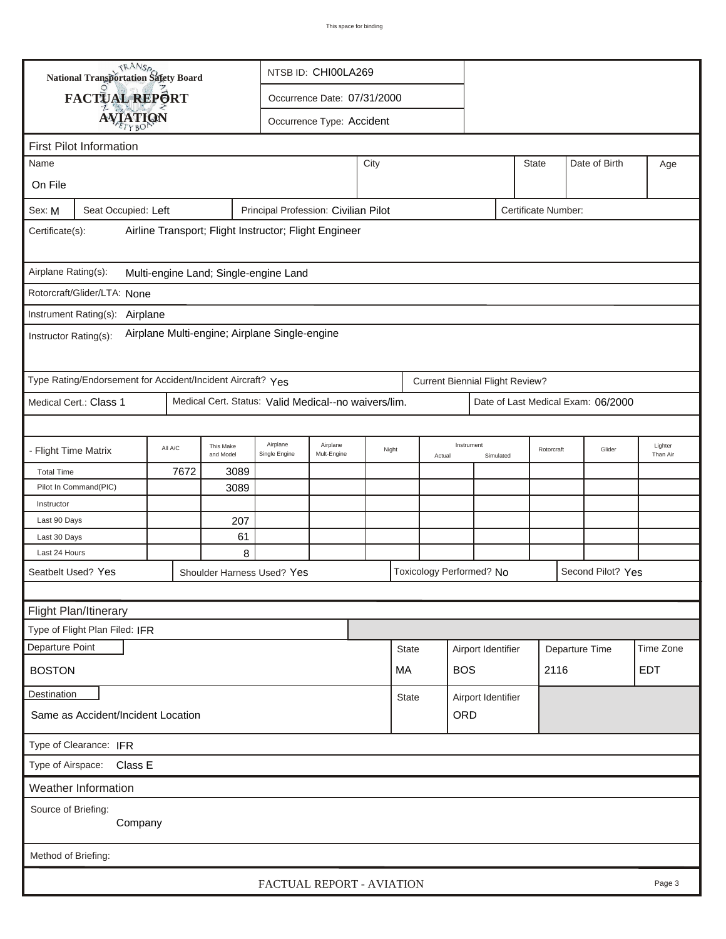| <b>National Transportation Safety Board</b>                                                                          |                                       |                        |                             | NTSB ID: CHI00LA269                        |      |              |            |                                        |  |              |                     |               |           |
|----------------------------------------------------------------------------------------------------------------------|---------------------------------------|------------------------|-----------------------------|--------------------------------------------|------|--------------|------------|----------------------------------------|--|--------------|---------------------|---------------|-----------|
| FACTUAL REPORT                                                                                                       |                                       |                        | Occurrence Date: 07/31/2000 |                                            |      |              |            |                                        |  |              |                     |               |           |
| <b>AVIATION</b>                                                                                                      |                                       |                        |                             | Occurrence Type: Accident                  |      |              |            |                                        |  |              |                     |               |           |
|                                                                                                                      |                                       |                        |                             |                                            |      |              |            |                                        |  |              |                     |               |           |
| <b>First Pilot Information</b><br>Name                                                                               |                                       |                        |                             |                                            | City |              |            |                                        |  | <b>State</b> |                     | Date of Birth |           |
|                                                                                                                      |                                       |                        |                             |                                            |      |              |            |                                        |  |              |                     |               | Age       |
| On File                                                                                                              |                                       |                        |                             |                                            |      |              |            |                                        |  |              |                     |               |           |
| Seat Occupied: Left<br>Principal Profession: Civilian Pilot<br>Certificate Number:<br>Sex: M                         |                                       |                        |                             |                                            |      |              |            |                                        |  |              |                     |               |           |
| Airline Transport; Flight Instructor; Flight Engineer<br>Certificate(s):                                             |                                       |                        |                             |                                            |      |              |            |                                        |  |              |                     |               |           |
| Airplane Rating(s):                                                                                                  | Multi-engine Land; Single-engine Land |                        |                             |                                            |      |              |            |                                        |  |              |                     |               |           |
| Rotorcraft/Glider/LTA: None                                                                                          |                                       |                        |                             |                                            |      |              |            |                                        |  |              |                     |               |           |
|                                                                                                                      |                                       |                        |                             |                                            |      |              |            |                                        |  |              |                     |               |           |
| Instrument Rating(s): Airplane<br>Airplane Multi-engine; Airplane Single-engine<br>Instructor Rating(s):             |                                       |                        |                             |                                            |      |              |            |                                        |  |              |                     |               |           |
| Type Rating/Endorsement for Accident/Incident Aircraft? Yes                                                          |                                       |                        |                             |                                            |      |              |            | <b>Current Biennial Flight Review?</b> |  |              |                     |               |           |
| Medical Cert.: Class 1<br>Medical Cert. Status: Valid Medical--no waivers/lim.<br>Date of Last Medical Exam: 06/2000 |                                       |                        |                             |                                            |      |              |            |                                        |  |              |                     |               |           |
|                                                                                                                      |                                       |                        |                             |                                            |      |              |            |                                        |  |              |                     |               |           |
| - Flight Time Matrix                                                                                                 | All A/C                               | This Make<br>and Model | Airplane<br>Single Engine   | Airplane<br>Night<br>Mult-Engine<br>Actual |      |              | Instrument | Rotorcraft<br>Simulated                |  | Glider       | Lighter<br>Than Air |               |           |
| <b>Total Time</b>                                                                                                    | 7672                                  | 3089                   |                             |                                            |      |              |            |                                        |  |              |                     |               |           |
| Pilot In Command(PIC)                                                                                                | 3089                                  |                        |                             |                                            |      |              |            |                                        |  |              |                     |               |           |
| Instructor                                                                                                           |                                       |                        |                             |                                            |      |              |            |                                        |  |              |                     |               |           |
| Last 90 Days                                                                                                         |                                       | 207                    |                             |                                            |      |              |            |                                        |  |              |                     |               |           |
| Last 30 Days<br>Last 24 Hours                                                                                        |                                       | 61<br>8                |                             |                                            |      |              |            |                                        |  |              |                     |               |           |
| Seatbelt Used? Yes                                                                                                   |                                       |                        |                             | Toxicology Performed? No                   |      |              |            |                                        |  |              |                     |               |           |
| Second Pilot? Yes<br>Shoulder Harness Used? Yes                                                                      |                                       |                        |                             |                                            |      |              |            |                                        |  |              |                     |               |           |
|                                                                                                                      |                                       |                        |                             |                                            |      |              |            |                                        |  |              |                     |               |           |
| Flight Plan/Itinerary<br>Type of Flight Plan Filed: IFR                                                              |                                       |                        |                             |                                            |      |              |            |                                        |  |              |                     |               |           |
| Departure Point                                                                                                      |                                       |                        |                             |                                            |      |              |            |                                        |  |              |                     |               | Time Zone |
|                                                                                                                      |                                       |                        |                             |                                            |      | <b>State</b> |            | Airport Identifier                     |  |              | Departure Time      |               |           |
| <b>BOS</b><br>2116<br><b>BOSTON</b><br>МA                                                                            |                                       |                        |                             |                                            |      |              | <b>EDT</b> |                                        |  |              |                     |               |           |
| <b>Destination</b><br>Airport Identifier<br><b>State</b>                                                             |                                       |                        |                             |                                            |      |              |            |                                        |  |              |                     |               |           |
| Same as Accident/Incident Location<br>ORD                                                                            |                                       |                        |                             |                                            |      |              |            |                                        |  |              |                     |               |           |
| Type of Clearance: IFR                                                                                               |                                       |                        |                             |                                            |      |              |            |                                        |  |              |                     |               |           |
| Class E<br>Type of Airspace:                                                                                         |                                       |                        |                             |                                            |      |              |            |                                        |  |              |                     |               |           |
| Weather Information                                                                                                  |                                       |                        |                             |                                            |      |              |            |                                        |  |              |                     |               |           |
| Source of Briefing:<br>Company                                                                                       |                                       |                        |                             |                                            |      |              |            |                                        |  |              |                     |               |           |
| Method of Briefing:                                                                                                  |                                       |                        |                             |                                            |      |              |            |                                        |  |              |                     |               |           |
| FACTUAL REPORT - AVIATION<br>Page 3                                                                                  |                                       |                        |                             |                                            |      |              |            |                                        |  |              |                     |               |           |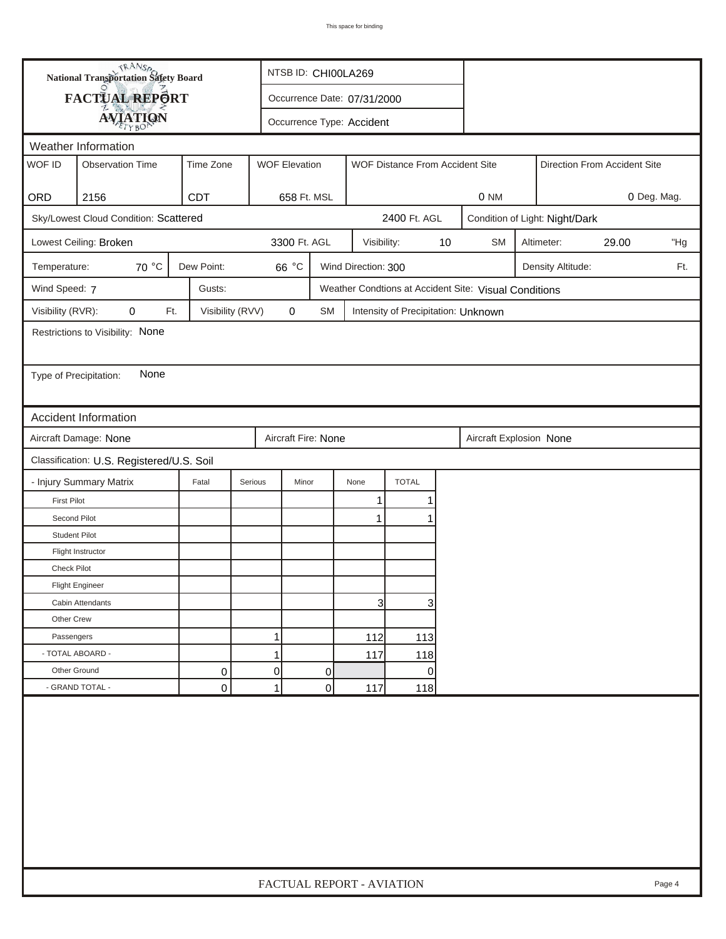| <b>National Transportation Safety Board</b><br>FACTUAL REPORT<br>Occurrence Date: 07/31/2000<br><b>AVIATION</b><br>Occurrence Type: Accident<br>Weather Information<br>WOF ID<br><b>Observation Time</b><br>Time Zone<br><b>WOF Elevation</b><br>WOF Distance From Accident Site<br>Direction From Accident Site<br>ORD<br>2156<br><b>CDT</b><br>658 Ft. MSL<br>0 NM<br>0 Deg. Mag.<br>Sky/Lowest Cloud Condition: Scattered<br>2400 Ft. AGL<br>Condition of Light: Night/Dark<br>3300 Ft. AGL<br>Lowest Ceiling: Broken<br>10<br><b>SM</b><br>Altimeter:<br>29.00<br>Visibility:<br>70 °C<br>Dew Point:<br>66 °C<br>Wind Direction: 300<br>Temperature:<br>Density Altitude:<br>Wind Speed: 7<br>Gusts:<br>Weather Condtions at Accident Site: Visual Conditions<br>Visibility (RVR):<br>Visibility (RVV)<br>$\pmb{0}$<br>0<br>Ft.<br>SM<br>Intensity of Precipitation: Unknown<br>Restrictions to Visibility: None<br>None<br>Type of Precipitation:<br><b>Accident Information</b><br>Aircraft Damage: None<br>Aircraft Fire: None<br>Aircraft Explosion None<br>Classification: U.S. Registered/U.S. Soil<br><b>TOTAL</b><br>- Injury Summary Matrix<br>Serious<br>Fatal<br>Minor<br>None<br><b>First Pilot</b><br>1<br>Second Pilot<br>$\mathbf 1$ | "Hg<br>Ft. |
|---------------------------------------------------------------------------------------------------------------------------------------------------------------------------------------------------------------------------------------------------------------------------------------------------------------------------------------------------------------------------------------------------------------------------------------------------------------------------------------------------------------------------------------------------------------------------------------------------------------------------------------------------------------------------------------------------------------------------------------------------------------------------------------------------------------------------------------------------------------------------------------------------------------------------------------------------------------------------------------------------------------------------------------------------------------------------------------------------------------------------------------------------------------------------------------------------------------------------------------------------------|------------|
|                                                                                                                                                                                                                                                                                                                                                                                                                                                                                                                                                                                                                                                                                                                                                                                                                                                                                                                                                                                                                                                                                                                                                                                                                                                         |            |
|                                                                                                                                                                                                                                                                                                                                                                                                                                                                                                                                                                                                                                                                                                                                                                                                                                                                                                                                                                                                                                                                                                                                                                                                                                                         |            |
|                                                                                                                                                                                                                                                                                                                                                                                                                                                                                                                                                                                                                                                                                                                                                                                                                                                                                                                                                                                                                                                                                                                                                                                                                                                         |            |
|                                                                                                                                                                                                                                                                                                                                                                                                                                                                                                                                                                                                                                                                                                                                                                                                                                                                                                                                                                                                                                                                                                                                                                                                                                                         |            |
|                                                                                                                                                                                                                                                                                                                                                                                                                                                                                                                                                                                                                                                                                                                                                                                                                                                                                                                                                                                                                                                                                                                                                                                                                                                         |            |
|                                                                                                                                                                                                                                                                                                                                                                                                                                                                                                                                                                                                                                                                                                                                                                                                                                                                                                                                                                                                                                                                                                                                                                                                                                                         |            |
|                                                                                                                                                                                                                                                                                                                                                                                                                                                                                                                                                                                                                                                                                                                                                                                                                                                                                                                                                                                                                                                                                                                                                                                                                                                         |            |
|                                                                                                                                                                                                                                                                                                                                                                                                                                                                                                                                                                                                                                                                                                                                                                                                                                                                                                                                                                                                                                                                                                                                                                                                                                                         |            |
|                                                                                                                                                                                                                                                                                                                                                                                                                                                                                                                                                                                                                                                                                                                                                                                                                                                                                                                                                                                                                                                                                                                                                                                                                                                         |            |
|                                                                                                                                                                                                                                                                                                                                                                                                                                                                                                                                                                                                                                                                                                                                                                                                                                                                                                                                                                                                                                                                                                                                                                                                                                                         |            |
|                                                                                                                                                                                                                                                                                                                                                                                                                                                                                                                                                                                                                                                                                                                                                                                                                                                                                                                                                                                                                                                                                                                                                                                                                                                         |            |
|                                                                                                                                                                                                                                                                                                                                                                                                                                                                                                                                                                                                                                                                                                                                                                                                                                                                                                                                                                                                                                                                                                                                                                                                                                                         |            |
|                                                                                                                                                                                                                                                                                                                                                                                                                                                                                                                                                                                                                                                                                                                                                                                                                                                                                                                                                                                                                                                                                                                                                                                                                                                         |            |
|                                                                                                                                                                                                                                                                                                                                                                                                                                                                                                                                                                                                                                                                                                                                                                                                                                                                                                                                                                                                                                                                                                                                                                                                                                                         |            |
|                                                                                                                                                                                                                                                                                                                                                                                                                                                                                                                                                                                                                                                                                                                                                                                                                                                                                                                                                                                                                                                                                                                                                                                                                                                         |            |
|                                                                                                                                                                                                                                                                                                                                                                                                                                                                                                                                                                                                                                                                                                                                                                                                                                                                                                                                                                                                                                                                                                                                                                                                                                                         |            |
|                                                                                                                                                                                                                                                                                                                                                                                                                                                                                                                                                                                                                                                                                                                                                                                                                                                                                                                                                                                                                                                                                                                                                                                                                                                         |            |
|                                                                                                                                                                                                                                                                                                                                                                                                                                                                                                                                                                                                                                                                                                                                                                                                                                                                                                                                                                                                                                                                                                                                                                                                                                                         |            |
|                                                                                                                                                                                                                                                                                                                                                                                                                                                                                                                                                                                                                                                                                                                                                                                                                                                                                                                                                                                                                                                                                                                                                                                                                                                         |            |
|                                                                                                                                                                                                                                                                                                                                                                                                                                                                                                                                                                                                                                                                                                                                                                                                                                                                                                                                                                                                                                                                                                                                                                                                                                                         |            |
|                                                                                                                                                                                                                                                                                                                                                                                                                                                                                                                                                                                                                                                                                                                                                                                                                                                                                                                                                                                                                                                                                                                                                                                                                                                         |            |
| <b>Student Pilot</b>                                                                                                                                                                                                                                                                                                                                                                                                                                                                                                                                                                                                                                                                                                                                                                                                                                                                                                                                                                                                                                                                                                                                                                                                                                    |            |
| Flight Instructor                                                                                                                                                                                                                                                                                                                                                                                                                                                                                                                                                                                                                                                                                                                                                                                                                                                                                                                                                                                                                                                                                                                                                                                                                                       |            |
| <b>Check Pilot</b>                                                                                                                                                                                                                                                                                                                                                                                                                                                                                                                                                                                                                                                                                                                                                                                                                                                                                                                                                                                                                                                                                                                                                                                                                                      |            |
| <b>Flight Engineer</b>                                                                                                                                                                                                                                                                                                                                                                                                                                                                                                                                                                                                                                                                                                                                                                                                                                                                                                                                                                                                                                                                                                                                                                                                                                  |            |
| $\overline{3}$<br>3<br>Cabin Attendants                                                                                                                                                                                                                                                                                                                                                                                                                                                                                                                                                                                                                                                                                                                                                                                                                                                                                                                                                                                                                                                                                                                                                                                                                 |            |
| Other Crew                                                                                                                                                                                                                                                                                                                                                                                                                                                                                                                                                                                                                                                                                                                                                                                                                                                                                                                                                                                                                                                                                                                                                                                                                                              |            |
| 1<br>Passengers<br>112<br>113                                                                                                                                                                                                                                                                                                                                                                                                                                                                                                                                                                                                                                                                                                                                                                                                                                                                                                                                                                                                                                                                                                                                                                                                                           |            |
| - TOTAL ABOARD -<br>$\mathbf{1}$<br>117<br>118                                                                                                                                                                                                                                                                                                                                                                                                                                                                                                                                                                                                                                                                                                                                                                                                                                                                                                                                                                                                                                                                                                                                                                                                          |            |
| Other Ground<br>0<br>0<br>0<br>0                                                                                                                                                                                                                                                                                                                                                                                                                                                                                                                                                                                                                                                                                                                                                                                                                                                                                                                                                                                                                                                                                                                                                                                                                        |            |
| - GRAND TOTAL -<br>0<br>1<br>0<br>117<br>118                                                                                                                                                                                                                                                                                                                                                                                                                                                                                                                                                                                                                                                                                                                                                                                                                                                                                                                                                                                                                                                                                                                                                                                                            |            |